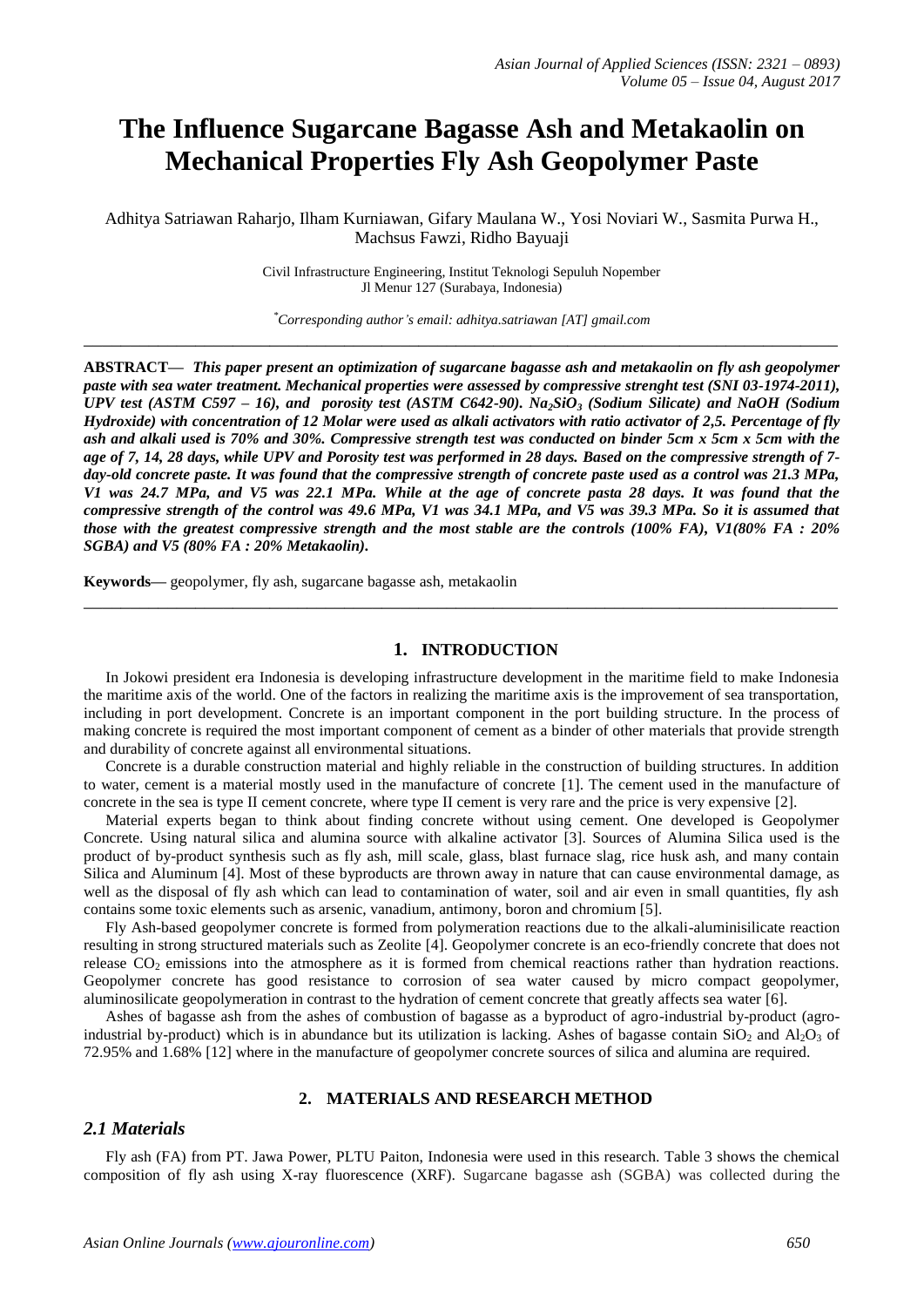# **The Influence Sugarcane Bagasse Ash and Metakaolin on Mechanical Properties Fly Ash Geopolymer Paste**

Adhitya Satriawan Raharjo, Ilham Kurniawan, Gifary Maulana W., Yosi Noviari W., Sasmita Purwa H., Machsus Fawzi, Ridho Bayuaji

> Civil Infrastructure Engineering, Institut Teknologi Sepuluh Nopember Jl Menur 127 (Surabaya, Indonesia)

*\*Corresponding author's email: adhitya.satriawan [AT] gmail.com* **\_\_\_\_\_\_\_\_\_\_\_\_\_\_\_\_\_\_\_\_\_\_\_\_\_\_\_\_\_\_\_\_\_\_\_\_\_\_\_\_\_\_\_\_\_\_\_\_\_\_\_\_\_\_\_\_\_\_\_\_\_\_\_\_\_\_\_\_\_\_\_\_\_\_\_\_\_\_\_\_\_**

**ABSTRACT—** *This paper present an optimization of sugarcane bagasse ash and metakaolin on fly ash geopolymer paste with sea water treatment. Mechanical properties were assessed by compressive strenght test (SNI 03-1974-2011), UPV test (ASTM C597 – 16), and porosity test (ASTM C642-90). Na2SiO<sup>3</sup> (Sodium Silicate) and NaOH (Sodium Hydroxide) with concentration of 12 Molar were used as alkali activators with ratio activator of 2,5. Percentage of fly ash and alkali used is 70% and 30%. Compressive strength test was conducted on binder 5cm x 5cm x 5cm with the age of 7, 14, 28 days, while UPV and Porosity test was performed in 28 days. Based on the compressive strength of 7 day-old concrete paste. It was found that the compressive strength of concrete paste used as a control was 21.3 MPa, V1 was 24.7 MPa, and V5 was 22.1 MPa. While at the age of concrete pasta 28 days. It was found that the compressive strength of the control was 49.6 MPa, V1 was 34.1 MPa, and V5 was 39.3 MPa. So it is assumed that those with the greatest compressive strength and the most stable are the controls (100% FA), V1(80% FA : 20% SGBA) and V5 (80% FA : 20% Metakaolin).*

**Keywords—** geopolymer, fly ash, sugarcane bagasse ash, metakaolin

#### **1. INTRODUCTION**

In Jokowi president era Indonesia is developing infrastructure development in the maritime field to make Indonesia the maritime axis of the world. One of the factors in realizing the maritime axis is the improvement of sea transportation, including in port development. Concrete is an important component in the port building structure. In the process of making concrete is required the most important component of cement as a binder of other materials that provide strength and durability of concrete against all environmental situations.

**\_\_\_\_\_\_\_\_\_\_\_\_\_\_\_\_\_\_\_\_\_\_\_\_\_\_\_\_\_\_\_\_\_\_\_\_\_\_\_\_\_\_\_\_\_\_\_\_\_\_\_\_\_\_\_\_\_\_\_\_\_\_\_\_\_\_\_\_\_\_\_\_\_\_\_\_\_\_\_\_\_**

Concrete is a durable construction material and highly reliable in the construction of building structures. In addition to water, cement is a material mostly used in the manufacture of concrete [1]. The cement used in the manufacture of concrete in the sea is type II cement concrete, where type II cement is very rare and the price is very expensive [2].

Material experts began to think about finding concrete without using cement. One developed is Geopolymer Concrete. Using natural silica and alumina source with alkaline activator [3]. Sources of Alumina Silica used is the product of by-product synthesis such as fly ash, mill scale, glass, blast furnace slag, rice husk ash, and many contain Silica and Aluminum [4]. Most of these byproducts are thrown away in nature that can cause environmental damage, as well as the disposal of fly ash which can lead to contamination of water, soil and air even in small quantities, fly ash contains some toxic elements such as arsenic, vanadium, antimony, boron and chromium [5].

Fly Ash-based geopolymer concrete is formed from polymeration reactions due to the alkali-aluminisilicate reaction resulting in strong structured materials such as Zeolite [4]. Geopolymer concrete is an eco-friendly concrete that does not release  $CO<sub>2</sub>$  emissions into the atmosphere as it is formed from chemical reactions rather than hydration reactions. Geopolymer concrete has good resistance to corrosion of sea water caused by micro compact geopolymer, aluminosilicate geopolymeration in contrast to the hydration of cement concrete that greatly affects sea water [6].

Ashes of bagasse ash from the ashes of combustion of bagasse as a byproduct of agro-industrial by-product (agroindustrial by-product) which is in abundance but its utilization is lacking. Ashes of bagasse contain  $SiO_2$  and  $Al_2O_3$  of 72.95% and 1.68% [12] where in the manufacture of geopolymer concrete sources of silica and alumina are required.

### **2. MATERIALS AND RESEARCH METHOD**

## *2.1 Materials*

Fly ash (FA) from PT. Jawa Power, PLTU Paiton, Indonesia were used in this research. Table 3 shows the chemical composition of fly ash using X-ray fluorescence (XRF). Sugarcane bagasse ash (SGBA) was collected during the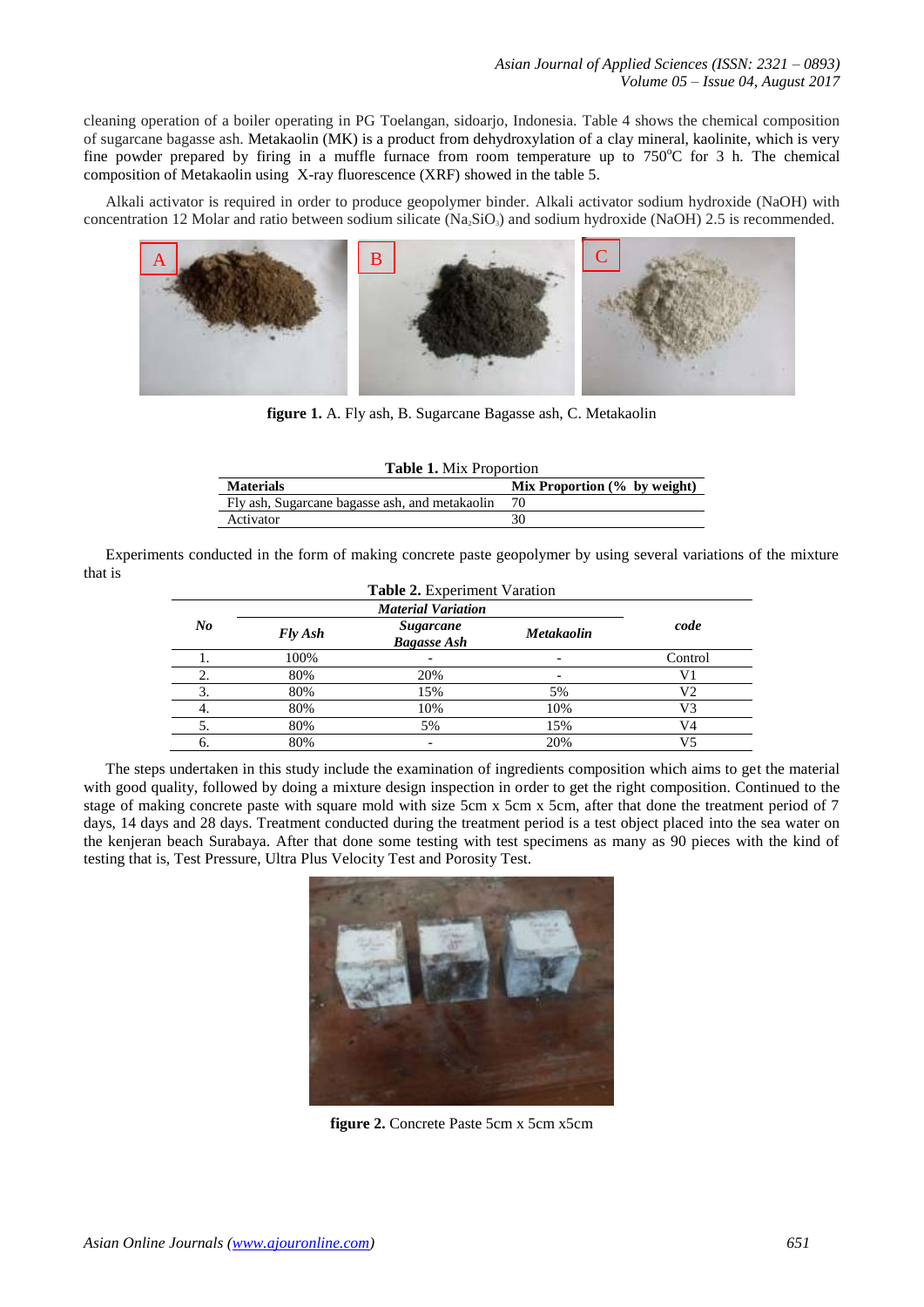cleaning operation of a boiler operating in PG Toelangan, sidoarjo, Indonesia. Table 4 shows the chemical composition of sugarcane bagasse ash. Metakaolin (MK) is a product from dehydroxylation of a clay mineral, kaolinite, which is very fine powder prepared by firing in a muffle furnace from room temperature up to  $750^{\circ}$ C for 3 h. The chemical composition of Metakaolin using X-ray fluorescence (XRF) showed in the table 5.

Alkali activator is required in order to produce geopolymer binder. Alkali activator sodium hydroxide (NaOH) with concentration 12 Molar and ratio between sodium silicate  $(Na_2SiO_3)$  and sodium hydroxide  $(NaOH)$  2.5 is recommended.



**figure 1.** A. Fly ash, B. Sugarcane Bagasse ash, C. Metakaolin

| <b>Table 1.</b> Mix Proportion                 |                                 |  |  |  |  |  |
|------------------------------------------------|---------------------------------|--|--|--|--|--|
| <b>Materials</b>                               | Mix Proportion $(\%$ by weight) |  |  |  |  |  |
| Fly ash, Sugarcane bagasse ash, and metakaolin |                                 |  |  |  |  |  |
| Activator                                      | 30                              |  |  |  |  |  |
|                                                |                                 |  |  |  |  |  |

Experiments conducted in the form of making concrete paste geopolymer by using several variations of the mixture that is

|         |         | <b>Material Variation</b>              |                   |         |
|---------|---------|----------------------------------------|-------------------|---------|
| $N_{0}$ | Fly Ash | <b>Sugarcane</b><br><b>Bagasse Ash</b> | <b>Metakaolin</b> | code    |
|         | 100%    |                                        |                   | Control |
| 2.      | 80%     | 20%                                    |                   | V1      |
| 3.      | 80%     | 15%                                    | 5%                | V2      |
| 4.      | 80%     | 10%                                    | 10%               | V3      |
| 5.      | 80%     | 5%                                     | 15%               | V4      |
| 6.      | 80%     |                                        | 20%               | V5      |

The steps undertaken in this study include the examination of ingredients composition which aims to get the material with good quality, followed by doing a mixture design inspection in order to get the right composition. Continued to the stage of making concrete paste with square mold with size 5cm x 5cm x 5cm, after that done the treatment period of 7 days, 14 days and 28 days. Treatment conducted during the treatment period is a test object placed into the sea water on the kenjeran beach Surabaya. After that done some testing with test specimens as many as 90 pieces with the kind of testing that is, Test Pressure, Ultra Plus Velocity Test and Porosity Test.



**figure 2.** Concrete Paste 5cm x 5cm x5cm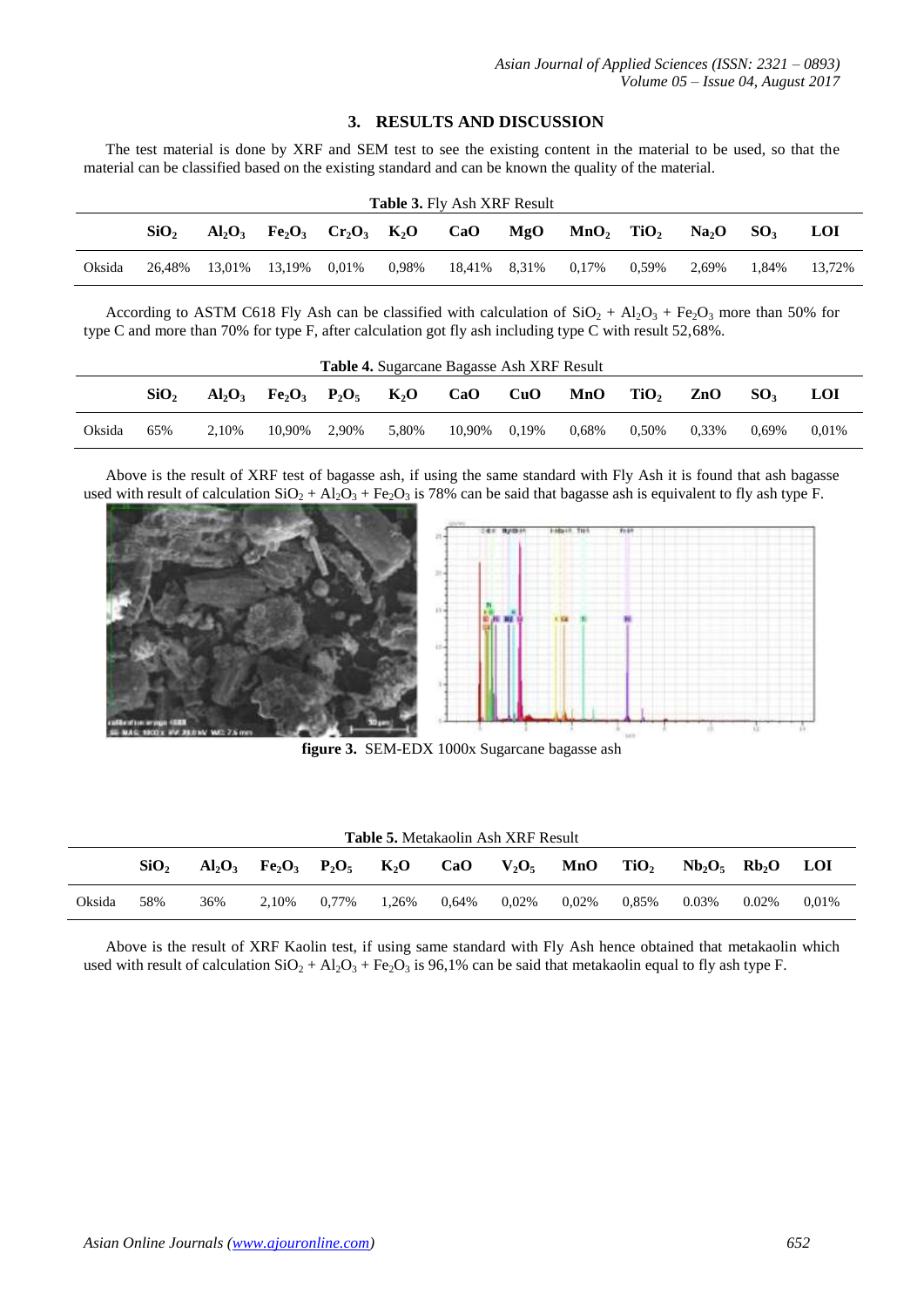## **3. RESULTS AND DISCUSSION**

The test material is done by XRF and SEM test to see the existing content in the material to be used, so that the material can be classified based on the existing standard and can be known the quality of the material.

|        | <b>Table 3. Fly Ash XRF Result</b> |  |                                                                                              |          |       |                    |     |                          |       |                   |                 |        |
|--------|------------------------------------|--|----------------------------------------------------------------------------------------------|----------|-------|--------------------|-----|--------------------------|-------|-------------------|-----------------|--------|
|        | SiO <sub>2</sub>                   |  | $Al_2O_3$ Fe <sub>2</sub> O <sub>3</sub> Cr <sub>2</sub> O <sub>3</sub> K <sub>2</sub> O CaO |          |       |                    | MgO | $MnO_2$ TiO <sub>2</sub> |       | Na <sub>2</sub> O | SO <sub>3</sub> | LOI    |
| Oksida | 26.48%                             |  | 13.01% 13.19%                                                                                | $0.01\%$ | 0.98% | 18,41% 8,31% 0,17% |     |                          | 0.59% | 2.69%             | 1.84%           | 13.72% |

According to ASTM C618 Fly Ash can be classified with calculation of  $SiO_2 + Al_2O_3 + Fe_2O_3$  more than 50% for type C and more than 70% for type F, after calculation got fly ash including type C with result 52,68%.

|        |                  |           |                |       |        | <b>Table 4.</b> Sugarcane Bagasse Ash XRF Result |       |       |                  |       |                 |       |
|--------|------------------|-----------|----------------|-------|--------|--------------------------------------------------|-------|-------|------------------|-------|-----------------|-------|
|        | SiO <sub>2</sub> | $Al_2O_3$ | $Fe2O3$ $P2O5$ |       | $K_2O$ | CaO                                              | CuO   | MnO   | TiO <sub>2</sub> | ZnO   | SO <sub>2</sub> | LOI   |
| Oksida | 65%              | 2.10%     | 10.90%         | 2.90% | 5.80%  | 10.90%                                           | 0.19% | 0.68% | $0.50\%$         | 0.33% | $0.69\%$        | 0.01% |

Above is the result of XRF test of bagasse ash, if using the same standard with Fly Ash it is found that ash bagasse used with result of calculation  $SiO_2 + Al_2O_3 + Fe_2O_3$  is 78% can be said that bagasse ash is equivalent to fly ash type F.



**figure 3.** SEM-EDX 1000x Sugarcane bagasse ash

|        |                  |     |                              |       |        |       | <b>Table 5.</b> Metakaolin Ash XRF Result |       |                  |                   |          |            |
|--------|------------------|-----|------------------------------|-------|--------|-------|-------------------------------------------|-------|------------------|-------------------|----------|------------|
|        | SiO <sub>2</sub> |     | $Al_2O_3$ $Fe_2O_3$ $P_2O_5$ |       | $K_2O$ | CaO   | $V_2O_5$                                  | MnO   | TiO <sub>2</sub> | $Nb_2O_5$ $Rb_2O$ |          | <b>LOI</b> |
| Oksida | 58%              | 36% | 2.10%                        | 0.77% | 1.26%  | 0.64% | 0.02%                                     | 0.02% | 0.85%            | 0.03%             | $0.02\%$ | 0.01%      |

Above is the result of XRF Kaolin test, if using same standard with Fly Ash hence obtained that metakaolin which used with result of calculation  $SiO_2 + Al_2O_3 + Fe_2O_3$  is 96,1% can be said that metakaolin equal to fly ash type F.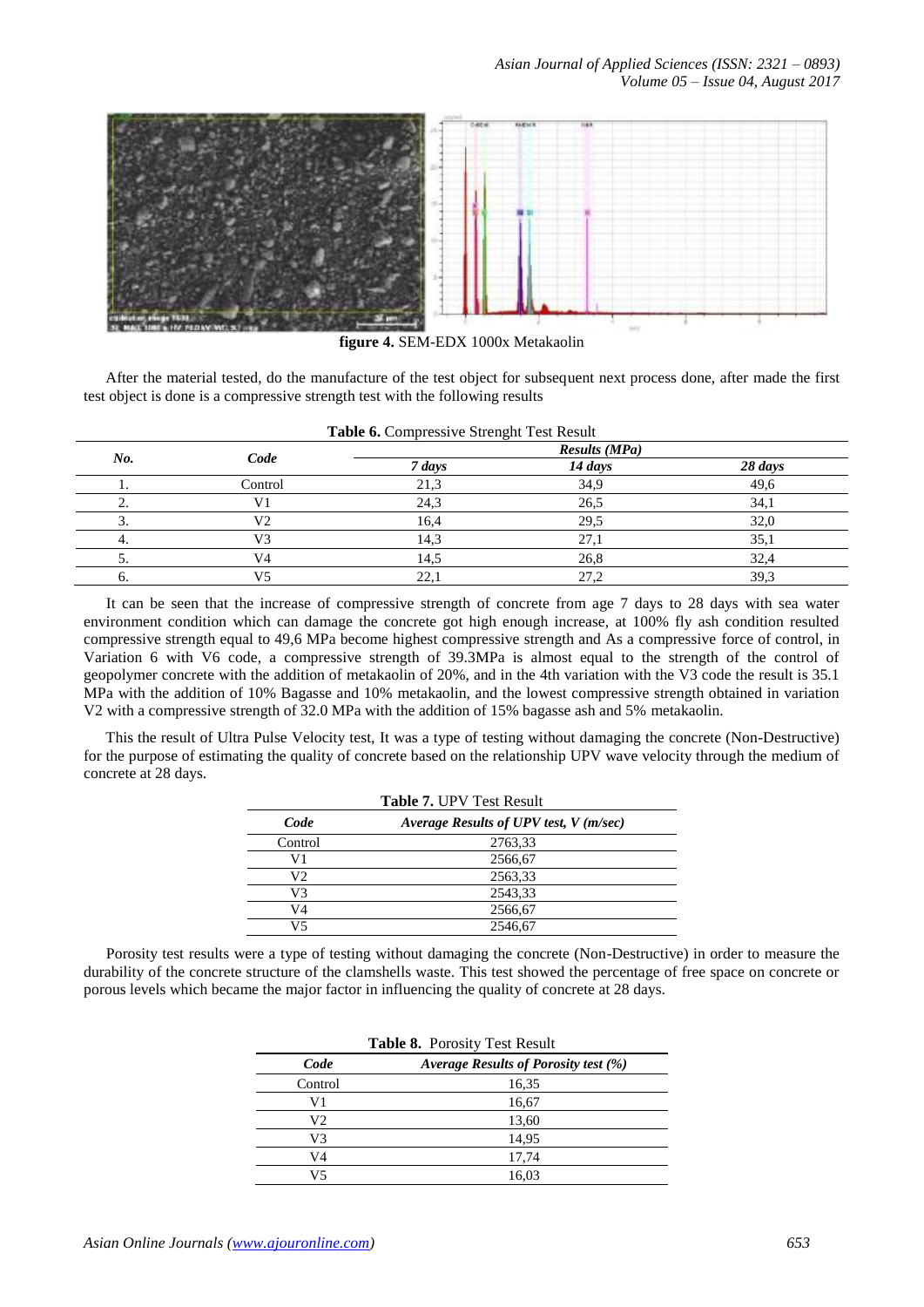

**figure 4.** SEM-EDX 1000x Metakaolin

After the material tested, do the manufacture of the test object for subsequent next process done, after made the first test object is done is a compressive strength test with the following results

|     | Code    |        | <b>Results (MPa)</b> |         |
|-----|---------|--------|----------------------|---------|
| No. |         | 7 days | 14 days              | 28 days |
|     | Control | 21,3   | 34,9                 | 49,6    |
|     | V1      | 24,3   | 26,5                 | 34,1    |
| . ب | V2      | 16,4   | 29,5                 | 32,0    |
| 4.  | V3      | 14,3   | 27,1                 | 35,1    |
|     | V4      | 14,5   | 26,8                 | 32,4    |
| o.  | V5      | 22,1   | 27,2                 | 39,3    |

**Table 6.** Compressive Strenght Test Result

It can be seen that the increase of compressive strength of concrete from age 7 days to 28 days with sea water environment condition which can damage the concrete got high enough increase, at 100% fly ash condition resulted compressive strength equal to 49,6 MPa become highest compressive strength and As a compressive force of control, in Variation 6 with V6 code, a compressive strength of 39.3MPa is almost equal to the strength of the control of geopolymer concrete with the addition of metakaolin of 20%, and in the 4th variation with the V3 code the result is 35.1 MPa with the addition of 10% Bagasse and 10% metakaolin, and the lowest compressive strength obtained in variation V2 with a compressive strength of 32.0 MPa with the addition of 15% bagasse ash and 5% metakaolin.

This the result of Ultra Pulse Velocity test, It was a type of testing without damaging the concrete (Non-Destructive) for the purpose of estimating the quality of concrete based on the relationship UPV wave velocity through the medium of concrete at 28 days.

|         | <b>Table 7. UPV Test Result</b>        |  |
|---------|----------------------------------------|--|
| Code    | Average Results of UPV test, V (m/sec) |  |
| Control | 2763,33                                |  |
| V1      | 2566,67                                |  |
| V2      | 2563,33                                |  |
| V3      | 2543,33                                |  |
| V4      | 2566,67                                |  |
| V5      | 2546.67                                |  |

Porosity test results were a type of testing without damaging the concrete (Non-Destructive) in order to measure the durability of the concrete structure of the clamshells waste. This test showed the percentage of free space on concrete or porous levels which became the major factor in influencing the quality of concrete at 28 days.

|         | Table 8. Porosity Test Result        |
|---------|--------------------------------------|
| Code    | Average Results of Porosity test (%) |
| Control | 16,35                                |
| V1      | 16,67                                |
| V2      | 13,60                                |
| V3      | 14,95                                |
| V4      | 17,74                                |
| V5      | 16,03                                |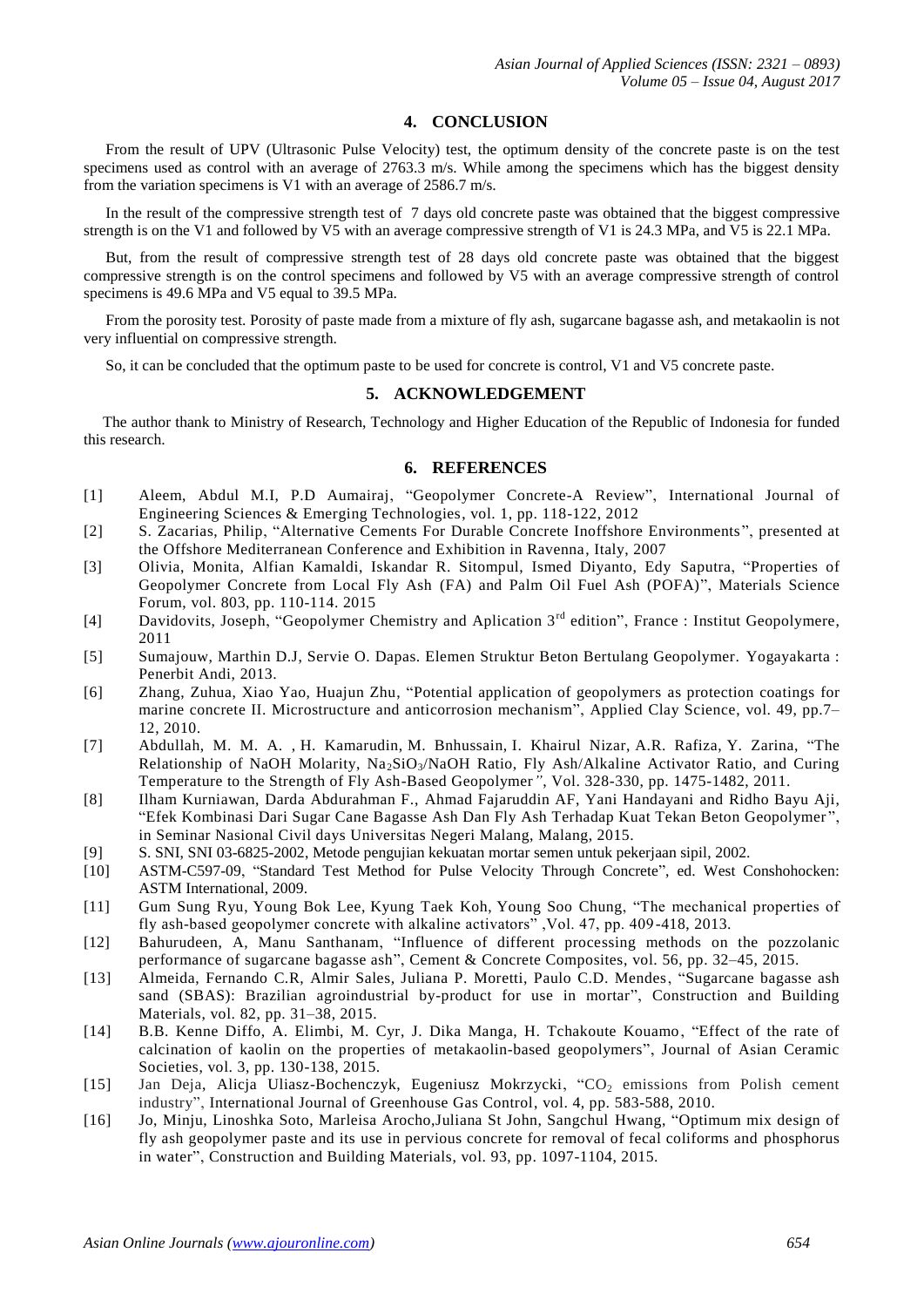#### **4. CONCLUSION**

From the result of UPV (Ultrasonic Pulse Velocity) test, the optimum density of the concrete paste is on the test specimens used as control with an average of 2763.3 m/s. While among the specimens which has the biggest density from the variation specimens is V1 with an average of 2586.7 m/s.

In the result of the compressive strength test of 7 days old concrete paste was obtained that the biggest compressive strength is on the V1 and followed by V5 with an average compressive strength of V1 is 24.3 MPa, and V5 is 22.1 MPa.

But, from the result of compressive strength test of 28 days old concrete paste was obtained that the biggest compressive strength is on the control specimens and followed by V5 with an average compressive strength of control specimens is 49.6 MPa and V5 equal to 39.5 MPa.

From the porosity test. Porosity of paste made from a mixture of fly ash, sugarcane bagasse ash, and metakaolin is not very influential on compressive strength.

So, it can be concluded that the optimum paste to be used for concrete is control, V1 and V5 concrete paste.

#### **5. ACKNOWLEDGEMENT**

The author thank to Ministry of Research, Technology and Higher Education of the Republic of Indonesia for funded this research.

## **6. REFERENCES**

- [1] Aleem, Abdul M.I, P.D Aumairaj, "Geopolymer Concrete-A Review", International Journal of Engineering Sciences & Emerging Technologies, vol. 1, pp. 118-122, 2012
- [2] S. Zacarias, Philip, "Alternative Cements For Durable Concrete Inoffshore Environments", presented at the Offshore Mediterranean Conference and Exhibition in Ravenna, Italy, 2007
- [3] Olivia, Monita, Alfian Kamaldi, Iskandar R. Sitompul, Ismed Diyanto, Edy Saputra, "Properties of Geopolymer Concrete from Local Fly Ash (FA) and Palm Oil Fuel Ash (POFA)", Materials Science Forum, vol. 803, pp. 110-114. 2015
- [4] Davidovits, Joseph, "Geopolymer Chemistry and Aplication 3<sup>rd</sup> edition", France : Institut Geopolymere, 2011
- [5] Sumajouw, Marthin D.J, Servie O. Dapas. Elemen Struktur Beton Bertulang Geopolymer. Yogayakarta : Penerbit Andi, 2013.
- [6] Zhang, Zuhua, Xiao Yao, Huajun Zhu, "Potential application of geopolymers as protection coatings for marine concrete II. Microstructure and anticorrosion mechanism", Applied Clay Science, vol. 49, pp.7– 12, 2010.
- [7] Abdullah, [M. M. A. ,](http://www.scientific.net/author/M_M_A_Abdullah) [H. Kamarudin,](http://www.scientific.net/author/H_Kamarudin) [M. Bnhussain,](http://www.scientific.net/author/M_Bnhussain) [I. Khairul Nizar,](http://www.scientific.net/author/I_Khairul_Nizar) [A.R. Rafiza,](http://www.scientific.net/author/A_R_Rafiza) [Y. Zarina,](http://www.scientific.net/author/Y_Zarina) "The Relationship of NaOH Molarity,  $Na_2SiO_3/NaOH$  Ratio, Fly Ash/Alkaline Activator Ratio, and Curing Temperature to the Strength of Fly Ash-Based Geopolymer*"*, Vol. 328-330, pp. 1475-1482, 2011.
- [8] Ilham Kurniawan, Darda Abdurahman F., Ahmad Fajaruddin AF, Yani Handayani and Ridho Bayu Aji, "Efek Kombinasi Dari Sugar Cane Bagasse Ash Dan Fly Ash Terhadap Kuat Tekan Beton Geopolymer ", in Seminar Nasional Civil days Universitas Negeri Malang, Malang, 2015.
- [9] S. SNI, SNI 03-6825-2002, Metode pengujian kekuatan mortar semen untuk pekerjaan sipil, 2002.
- [10] ASTM-C597-09, "Standard Test Method for Pulse Velocity Through Concrete", ed. West Conshohocken: ASTM International, 2009.
- [11] [Gum Sung Ryu,](http://www.sciencedirect.com/science/article/pii/S0950061813004674) [Young Bok Lee,](http://www.sciencedirect.com/science/article/pii/S0950061813004674) [Kyung Taek Koh,](http://www.sciencedirect.com/science/article/pii/S0950061813004674) [Young Soo Chung,](http://www.sciencedirect.com/science/article/pii/S0950061813004674) "The mechanical properties of fly ash-based geopolymer concrete with alkaline activators" ,Vol. 47, pp. 409-418, 2013.
- [12] Bahurudeen, A, Manu Santhanam, "Influence of different processing methods on the pozzolanic performance of sugarcane bagasse ash", Cement & Concrete Composites, vol. 56, pp. 32–45, 2015.
- [13] Almeida, Fernando C.R, Almir Sales, Juliana P. Moretti, Paulo C.D. Mendes, "Sugarcane bagasse ash sand (SBAS): Brazilian agroindustrial by-product for use in mortar", Construction and Building Materials, vol. 82, pp. 31–38, 2015.
- [14] B.B. Kenne Diffo, A. Elimbi, M. Cyr, J. Dika Manga, H. Tchakoute Kouamo, "Effect of the rate of calcination of kaolin on the properties of metakaolin-based geopolymers", Journal of Asian Ceramic Societies, vol. 3, pp. 130-138, 2015.
- [15] Jan Deja, Alicja Uliasz-Bochenczyk, Eugeniusz Mokrzycki, "CO<sub>2</sub> emissions from Polish cement industry", International Journal of Greenhouse Gas Control, vol. 4, pp. 583-588, 2010.
- [16] Jo, Minju, Linoshka Soto, Marleisa Arocho,Juliana St John, Sangchul Hwang, "Optimum mix design of fly ash geopolymer paste and its use in pervious concrete for removal of fecal coliforms and phosphorus in water", Construction and Building Materials, vol. 93, pp. 1097-1104, 2015.